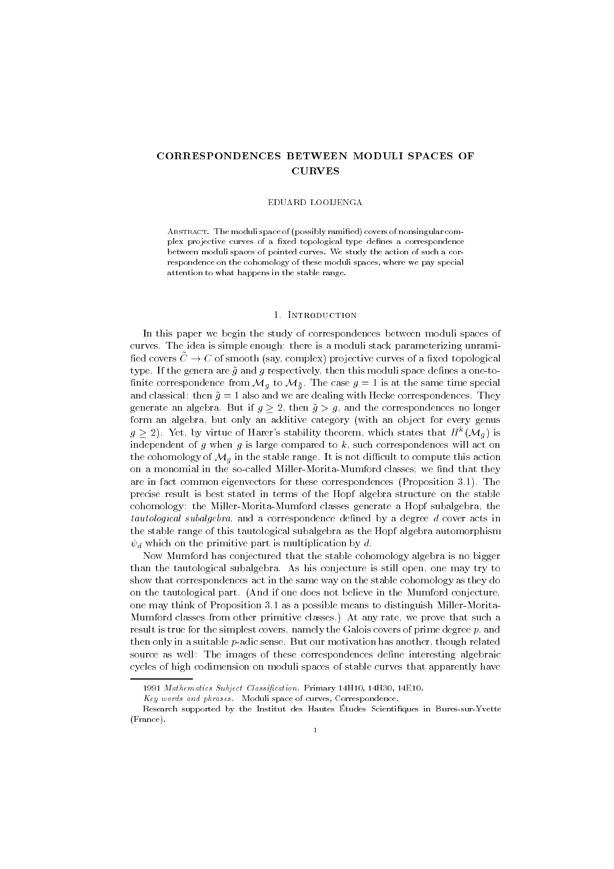# CORRESPONDENCES BETWEEN MODULI SPACES OF **CURVES**

### EDUARD LOOIJENGA

 $\mathbf{F}$  absorption of possibly radiation ramied covers of nonsingular components of nonsingular components of  $\mathbf{F}$ plex projective curves of a fixed topological type defines a correspondence between moduli spaces of pointed curves- We study the action of such a cor respondence on the cohomology of these moduli spaces, where we pay special attention to what happens in the stable range.

In this paper we begin the study of correspondences between moduli spaces of curves-is simple enough the idea is simple enough the idea is a moduli stack parameterizing unramited unramited fied covers  $\tilde{C} \to C$  of smooth (say, complex) projective curves of a fixed topological type- If the genera are g and g respectively then this moduli space denes a oneto nite correspondence from Mg-to Mg-to Mg-to Mg-to Mg-to Mg-to Mg-to Mg-to Mg-to Mg-to Mg-to Mg-to Mg-to Mg-to M and classical then g also and we are dealing with Hecke correspondences- They  $\mathbf{B}$  and the correspondences no longerate and the correspondences no longer no longer no longer no longer form an algebra, but only an additive category (with an object for every genus  $g \geq z$ ). Tet, by virtue of Harer's stability theorem, which states that  $H^-(\mathcal{M}_g)$  is independent of g when g is large compared to  $k$ , such correspondences will act on the cohomology of Mg in the stable range- in the not dimitized to compute the stable range on a monomial in the so-called Miller-Morita-Mumford classes; we find that they are in fact common eigenvectors for these correspondence  $\mathcal{P}$  reposition -  $\mathcal{P}$ precise result is best stated in terms of the Hopf algebra structure on the stable cohomology: the Miller-Morita-Mumford classes generate a Hopf subalgebra, the tautological subalgebra, and a correspondence defined by a degree d cover acts in the stable range of this tautological subalgebra as the Hopf algebra automorphism  $\psi_d$  which on the primitive part is multiplication by d.

Now Mumford has conjectured that the stable cohomology algebra is no bigger than the tautological subalgebra- As his conjecture is still open one may try to show that correspondences act in the same way on the stable cohomology as they do on the tautological parts please if one does not believe in the Mumford conjecture, the one may think of Proposition - to distinguish Miller measure to distinguish Miller Miller Mumford classes from other primitive classes- At any rate we prove that such a result is true for the simplest covers, namely the Galois covers of prime degree  $p$ , and then only in a suitable padic sense- But our motivation has another though related source as well: The images of these correspondences define interesting algebraic cycles of high codimension on moduli spaces of stable curves that apparently have

 $1991$  Mathematics Subject Classification. Filmary 14 $\pi$ 10, 14 $\pi$ 30, 14 $\pi$ 10.

 $\Lambda$ ey words and phrases. Moduli space of curves, Correspondence.

Research supported by the Institut des Hautes Études Scientifiques in Bures-sur-Yvette  $(France).$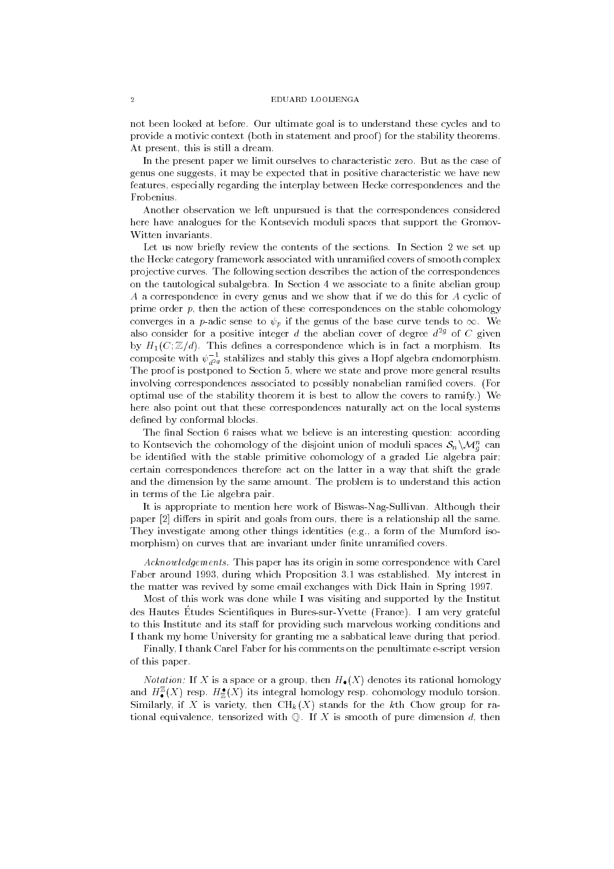### EDIJARD LOOLIENG A

not been looked at before- Our ultimate goal is to understand these cycles and to provide a motivic context (both in statement and proof) for the stability theorems. At present, this is still a dream.

In the present paper we limit ourselves to characteristic zero- But as the case of genus one suggests it may be expected that in positive characteristic we have new features, especially regarding the interplay between Hecke correspondences and the Frobenius-

Another observation we left unpursued is that the correspondences considered here have analogues for the Kontsevich moduli spaces that support the Gromov Witten invariants.

Let us now briey review the contents of the sections- In Section we set up the Hecke category framework associated with unramified covers of smooth complex projective curves- The following section describes the action of the correspondences on the tautological subalgebra - in Section 1 and the abelian group of the section  $\pi$  abelian group A a correspondence in every genus and we show that if we do this for A cyclic of prime order  $p$ , then the action of these correspondences on the stable cohomology converges in a padic sense to p p in the genus of the base curve tends to - the base curve also consider for a positive integer d the abelian cover of degree  $d^{2g}$  of C given by H-Its density and the correspondence which is in fact a more which is in fact a more parameter which is in composite with  $\psi_{d^2\!g}^+$  stabilizes and stably this gives a Hopf algebra endomorphism. The proof is postponed to Section 5, where we state and prove more general results involving correspondences associated to possibly nonabelian ramied covers- For optimized the stability theorem is the stability the covers the covers the covers to ramify- the covers to res here also point out that these correspondences naturally act on the local systems defined by conformal blocks.

The final Section 6 raises what we believe is an interesting question: according to Kontsevich the cohomology of the disjoint union of moduli spaces  $\mathcal{S}_n \setminus \mathcal{M}_q^{\scriptscriptstyle\wedge}$  can be identified with the stable primitive cohomology of a graded Lie algebra pair; certain correspondences therefore act on the latter in a way that shift the grade and the dimension by the same amount-dimension problem is to understand this action that the same of the same in terms of the Lie algebra pair-

it is appropriate to meaning mass work of Biswasham their their age and the paper  $\lceil 2 \rceil$  differs in spirit and goals from ours, there is a relationship all the same. They investigate among other things identities e-g- a form of the Mumford iso morphism) on curves that are invariant under finite unramified covers.

activity its paper for the correspondence with the correspondence with  $\alpha$  its origin  $\alpha$  its origin  $\alpha$ Faber around during which Proposition - was established- My interest in the matter was revived by some email exchanges with Dick Hain in Spring 1997.

Most of this work was done while I was visiting and supported by the Institut des Hautes Buddes Scientifiques in Dures-sur-Tvette (France). Tam very grateful to this Institute and its staff for providing such marvelous working conditions and I thank my home University for granting me a sabbatical leave during that period-

Finally, I thank Carel Faber for his comments on the penultimate e-script version of this paper.

Notation If X is a space or a group then H-X denotes its rational homology and  $H_\bullet^-(A)$  resp.  $H_{\mathbb{Z}}(A)$  its integral homology resp. cohomology modulo torsion. Similarly, if X is variety, then  $\text{CH}_k(X)$  stands for the kth Chow group for rational equivalence tensorized with Q- If X is smooth of pure dimension d then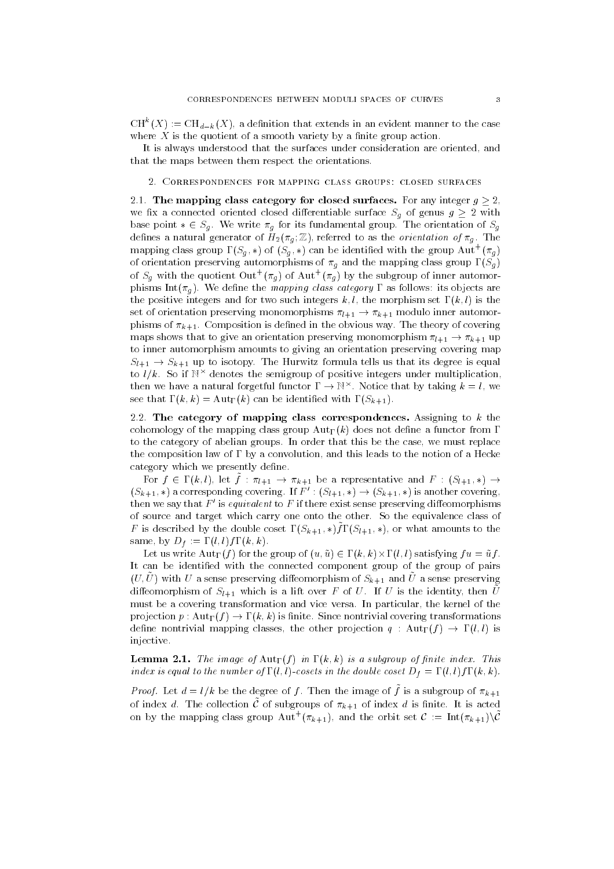CH  $(X) := CH_{d-k}(X)$ , a definition that extends in an evident manner to the case where  $X$  is the quotient of a smooth variety by a finite group action.

It is always understood that the surfaces under consideration are oriented, and that the maps between them respect the orientations-

-- The mapping class category for closed surfaces- For any integer g we are a connected oriented dieres dimensional surface Section Sg of genus g  $\sim$  = with base point Sg - We write wy for fundamental group of the orientation of Sg dences a control generator of Hg Z referred to as the orientation of g referred to assign the state of g - All mapping class group  $\Gamma(S_q,*)$  of  $(S_q,*)$  can be identified with the group Aut  $(\pi_q)$ of orientation preserving automorphisms of  $\pi_g$  and the mapping class group  $\Gamma(S_g)$ of  $S_g$  with the quotient Out' ( $\pi_g$ ) of Aut' ( $\pi_g$ ) by the subgroup of inner automorphisms Intg - We dene the mapping class category as follows its objects are the positive integers and for two such integers  $k, l$ , the morphism set  $\Gamma(k, l)$  is the set of orientation preserving monomorphisms l-k-  $\mathbb{R}^{n+1}$  -  $\mathbb{R}^{n+1}$  modulo inner automorphisms l-kphisms of k-2 - The the objective way observed in the observed in the observed in the objective way of covering maps shows that to give an orientation preserving monomorphisms. Up 1 - 1-10 m 1 - 1to inner automorphism amounts to giving an orientation preserving covering map sleep is subject for the Hurwitz formula tells used that its degree is the formula tells used the Hurmitz of to  $t/k$ . So if  $\mathbb{N}$  denotes the semigroup of positive integers under multiplication, then we have a natural forgetful functor  $1 \rightarrow \mathbb{N}^+$ . Notice that by taking  $\kappa = \iota$ , we see that is a contract with Sk- and the internal of the internal can be identically assumed to the internal can

-- The category of mapping class correspondences- Assigning to k the cohomology of the mapping class group  ${\rm Aut}_{\Gamma}(k)$  does not define a functor from  $\Gamma$ to the category of abelian groups- In order that this be the case we must replace the composition law of  $\Gamma$  by a convolution, and this leads to the notion of a Hecke category which we presently define.

For  $f \in L^{n, \{0\}, \{1\}^n}$  for  $f \in L^{n+1}$   $\rightarrow$   $n_{k+1}$  be a representative and  $F \in L^{n+1}$ ,  $\rightarrow$  $(S_{k+1}, *)$  a corresponding covering. If  $F : (\partial_{l+1}, *) \rightarrow (\partial_{k+1}, *)$  is another covering, then we say that  $F'$  is equivalent to F if there exist sense preserving diffeomorphisms of source and target which carry one only the other-class of the operators class of  $F$  is described by the double coset  $\Gamma(\mathcal{D}_{k+1}, \gamma)$ ,  $\Gamma(\mathcal{D}_{k+1}, \gamma)$ , or what amounts to the same by Direct the Contract of the Direct Section of the Direct Section of the Direct Section of the Direct Se

LET US WITH A LOCAL LIFE AND LIFE WORLD AND LIFE OF U.S. AND LIFE OF U.S. AND LIFE OF U.S. AND LIFE OF U.S. AN It can be identified with the connected component group of the group of pairs  $(U, U)$  with U a sense preserving diffeomorphism of  $D_{k+1}$  and U a sense preserving diffeomorphism of  $\mathcal{O}_{l+1}$  which is a lift over F of  $U$ . If  $U$  is the identity, then  $U$ must be a covering transformation and vice versa- In particular the kernel of the projection projection projection  $\Box$  is non-transformations to  $\Box$ define nontrivial mapping classes, the other projection  $q : \text{Aut}_{\Gamma}(f) \to \Gamma(l, l)$  is injective-

Lemma -- The image of Autf in k k is a subgroup of nite index- This index is the number of lattice cosets in the double coset  $\mathbf i$  and  $\mathbf i$  and  $\mathbf i$  and  $\mathbf i$ 

*Froof*. Let  $a = i/k$  be the degree of f. Then the image of f is a subgroup of  $\pi_{k+1}$ of index  $a$ . The collection C of subgroups of  $n_{k+1}$  of index  $a$  is finite. It is acted on by the mapping class group  ${\rm Aut}^+(\pi_{k+1})$ , and the orbit set  ${\mathcal C}:=\text{Int}(\pi_{k+1})\setminus {\mathcal C}$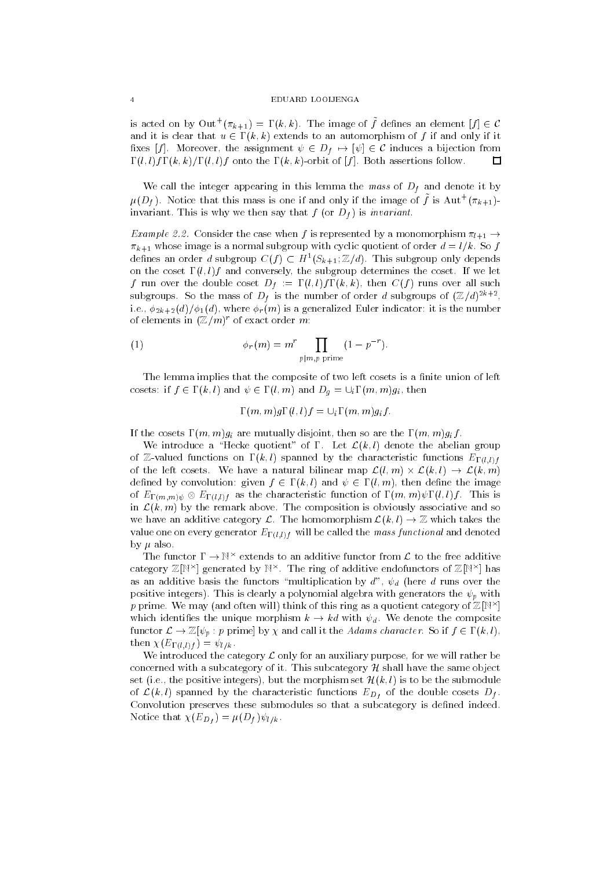is acted on by  $\mathrm{Out}^+(\pi_{k+1})=\Gamma(k,k)$ . The image of  $f$  defines an element  $|f|\in\mathcal{C}$ and it is clear that  $u \in \Gamma(k, k)$  extends to an automorphism of f if and only if it xes for the assignment in the assignment of  $\mathcal{L} = \{1, \ldots, n\}$  is the assignment of  $\mathcal{L}$  $\Box$ l l fk k l l f onto the k k orbit of f - Both assertions follow-

We call the integer appearing in this lemma the mass of  $D_f$  and denote it by  $\mu(D_f)$ . Notice that this mass is one if and only if the image of f is Aut  $(\pi_{k+1})$ invariant the same form  $\alpha$  is the same say that f  $\alpha$  is  $\alpha$  is the same same.

 $\blacksquare$  consider the case when f is represented by a monomorphism l-position l-position l-position l-position l-position l-position of  $\mu_1$ where is a normal subgroup with constant  $\alpha$  is a normal subgroup  $\alpha$  for  $\alpha$  and  $\alpha$  for  $\alpha$  for  $\beta$ dennes an order a subgroup  $C(f) \subset H_-(\partial_{k+1}, \mathbb{Z}/a)$ . This subgroup only depends on the coset lift  $\mu$  which conversely the subgroup determines the coset- of the cos f run over the double coset  $\mathbf{r}$  and  $\mathbf{r}$  runs over all such  $\mathbf{r}$ subgroups. So the mass of  $D_f$  is the number of order a subgroups of  $(\mathbb{Z}/a)^{+\infty}$ , i-distribution is a generalized indicator in the number of  $\alpha$  generalized  $\alpha$  and  $\alpha$  is the number of  $\alpha$ of elements in  $(\mathbb{Z}/m)$  of exact order  $m$ :

(1) 
$$
\phi_r(m) = m^r \prod_{p|m, p \text{ prime}} (1 - p^{-r}).
$$

The lemma implies that the composite of two left cosets is a finite union of left cosets in the sets in the sets in the sets in the sets in the sets in the sets in the sets in the sets in the s

 $\alpha$  implies that is not implied to the contract of the contract of the contract of the contract of the contract of the contract of the contract of the contract of the contract of the contract of the contract of the contr

If the cosets  $\Gamma(m, m)g_i$  are mutually disjoint, then so are the  $\Gamma(m, m)g_i f$ .

we introduce a Hecker quotient of - - - - Applying denote the above group of  $\omega$  and the characteristic functions  $\{ \cdot, \cdot \}$  ,  $\omega_{\Gamma}$  and  $\omega_{\Gamma}$  functions  $\Gamma$  functions  $\omega_{\Gamma}$  (e.g.) of the left cost cost of the later map Lines map Lines and the state of the state of the state of the state of defined by convolution: given  $f \in \Gamma(k, l)$  and  $\psi \in \Gamma(l, m)$ , then define the image of  $\Gamma$  is isomorphic function of m matriceristic function of matrices  $\Gamma$  ,  $\Gamma$  ,  $\Gamma$  ,  $\Gamma$  ,  $\Gamma$  ,  $\Gamma$  ,  $\Gamma$  ,  $\Gamma$  ,  $\Gamma$  ,  $\Gamma$  ,  $\Gamma$  ,  $\Gamma$  ,  $\Gamma$  ,  $\Gamma$  ,  $\Gamma$  ,  $\Gamma$  ,  $\Gamma$  ,  $\Gamma$  ,  $\Gamma$  ,  $\Gamma$  ,  $\Gamma$  ,  $\Gamma$ in a primitive associative above above the composition is obviously associative and some and so we have an additive category L- The homomorphism Lk l Zwhich takes the value one one or generator El-MMI will be called the mass functional and denoted the mass functional and denoted by  $\mu$  also.

The functor  $I \rightarrow \mathbb{N}$  extends to an additive functor from  $L$  to the free additive category  $\mathbb Z[\mathbb N^\times]$  generated by  $\mathbb N^\times$ . The ring of additive endofunctors of  $\mathbb Z[\mathbb N^\times]$  has as an additive basis the functors "multiplication by  $d^{\prime\prime}$ ,  $\psi_d$  (here d runs over the positive integers - This is clearly a polynomial algebra with generators the p with  $p$  prime. We may (and often will) think of this ring as a quotient category of  $\mathbb{Z}[N^{\times}]$ which identifies the unique morphism k kd with d - with d - with d - with d - with d - with d - with d - with d function  $\mathcal{L}$  , and if  $\mu$  if the Adams character character characters characters in  $\mathcal{L}$  , and  $\mu$ then El-l f lk-

We introduced the category  $\mathcal L$  only for an auxiliary purpose, for we will rather be concerned with a subcategory H shall have the same objective in the same objective in the same objective in th est it the positive integers in the more integers in the submodule in the submodule submodule in of  $\alpha$  (b) spanned by the characteristic functions  $\alpha$   $D_f$  of the double cosets  $\alpha$   $f$  . Convolution preserves these submodules so that a subcategory is defined indeed.  $\ldots$  .  $\ldots$  .  $\mathcal{N}$  and  $\mathcal{N}$  is the set of  $\mathcal{N}$  is the set of  $\mathcal{N}$  is the set of  $\mathcal{N}$  is the set of  $\mathcal{N}$  is the set of  $\mathcal{N}$  is the set of  $\mathcal{N}$  is the set of  $\mathcal{N}$  is the set of  $\mathcal{N}$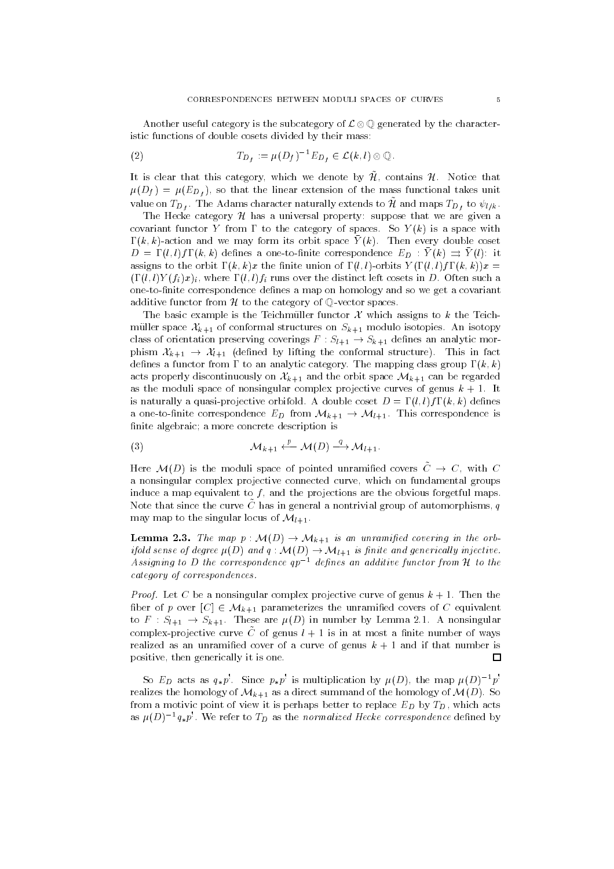Another useful category is the subcategory of  $\mathcal{L} \otimes \mathbb{Q}$  generated by the characteristic functions of double cosets divided by their mass:

$$
(2) \tT_{D_f} := \mu(D_f)^{-1} E_{D_f} \in \mathcal{L}(k,l) \otimes \mathbb{Q}.
$$

It is crear that this category, which we denote by  $\mu$ , contains  $\mu$ . Troute that  $\mathcal{L}^{\mathcal{L}}(E)$  ,  $\mathcal{L}^{\mathcal{L}}(E)$  is the mass function of the mass function of the mass function of the mass function value on  $ID_f$ . The Adams character naturally extends to  $\mu$  and maps  $ID_f$  to  $\psi_l/k$ .

The Hecke category  $\mathcal H$  has a universal property: suppose that we are given a covariant functor  $\mathbf{r}$  is a space with the category of space with the category of space with the category of space with  $\mathbf{r}$  $\Gamma(\kappa, \kappa)$ -action and we may form its orbit space  $\Gamma(\kappa)$ . Then every double coset  $D = \Gamma(i, i)$   $\Gamma(\kappa, \kappa)$  defines a one-to-mine correspondence  $\Gamma(D)$   $\rightarrow$   $\Gamma(\kappa)$   $\rightarrow$   $\Gamma(i)$ . It assigns to the orbit  $\Gamma(k, k)x$  the finite union of  $\Gamma(l, l)$ -orbits  $Y(\Gamma(l, l)f\Gamma(k, k))x =$ l l Y fi x i where l l fi runs over the distinct left cosets in D- Often such a one-to-finite correspondence defines a map on homology and so we get a covariant additive functor from  $H$  to the category of  $\mathbb{Q}$ -vector spaces.

The basic example is the Teichmüller functor  $\mathcal X$  which assigns to k the Teichmuller space XX-an isotopy is space XX-an isotopy in Sk-an isotopy in Sk-an isotopy in Sk-an isotopy in the structure class of orientation preserving covering covering covering f  $\alpha$ phism is a conformal structure of the conformal structure of the conformal structure of the conformal structure denes a functor from to an analytic category- The mapping class group k k acts properly discontinuously on Xk-pace Mine Section process the party of the orbit space March as the moduli space of nonsingular complex projective curves of genus k - It is naturally a quasiprojective orbitalistic and double coset D  $\sim$  1999. In the double coset a onetonite correspondence  $\mathbf{m}_{D}$  from Map  $_{\mathrm{H}}$  , and  $_{\mathrm{H}}$  from correspondence is finite algebraic; a more concrete description is

$$
\mathcal{M}_{k+1} \xleftarrow{p} \mathcal{M}(D) \xrightarrow{q} \mathcal{M}_{l+1}.
$$

Here  $\mathcal{M}(D)$  is the moduli space of pointed unramified covers  $\tilde{C} \to C$ , with C a nonsingular complex projective connected curve, which on fundamental groups induce a map equivalent to  $f$ , and the projections are the obvious forgetful maps Note that since the curve C has in general a nontrivial group of automorphisms,  $q$ may map to the singular locus of Ml--

covering in the map p is an unit and upper covering in the orbit of the orbit of the orbit of the orbit of the Assigning to D the correspondence  $qp^{-1}$  defines an additive functor from H to the category of correspondences.

Proof- Let C be a nonsingular complex projective curve of genus k - Then the ber of p over C Mk- parameterizes the unramied covers of <sup>C</sup> equivalent  $\mathbf{S}$  . These are  $\mathbf{S}$  in the Dirac in  $\mathbf{S}$  in  $\mathbf{S}$  in the Dirac in  $\mathbf{S}$ complex-projective curve  $C$  or genus  $\iota + 1$  is in at most a ninte number or ways realized as an unramified cover of a curve of genus  $k + 1$  and if that number is positive, then generically it is one.  $\Box$ 

So  $E_D$  acts as  $q_* p$ . Since  $p_* p$  is multiplication by  $\mu(D)$ , the map  $\mu(D)$  -p realizes the homology of Mk-1 as a direct summand of the homology of Mp-  $\mu$  as  $\mu$ from a motivic point of view it is perhaps better to replace  $E_D$  by  $T_D$ , which acts as  $\mu(D)$  -  $q_* p$  , we refer to Tp as the normalized Hecke correspondence defined by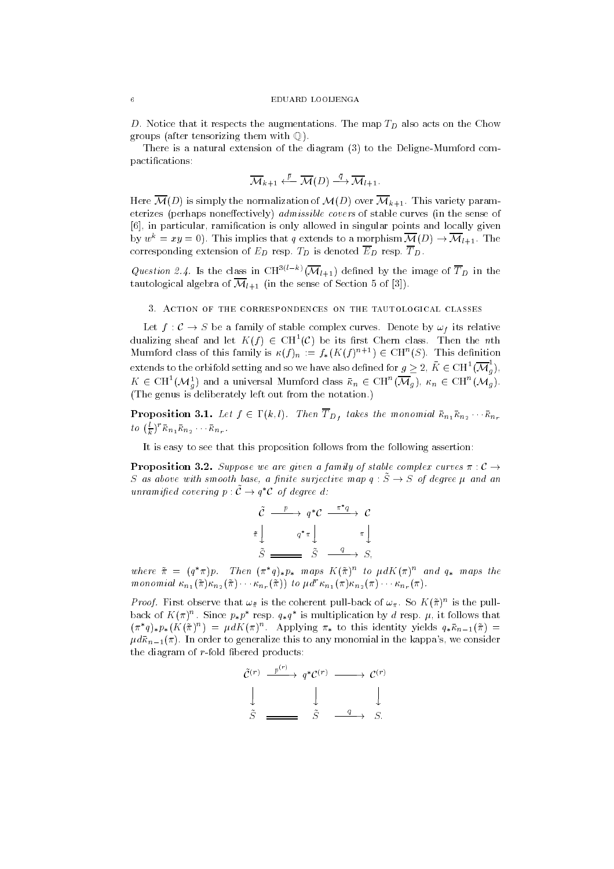- the map The map TD also augmentations-the map TD also acts on the Chow and Chow groups (after tensorizing them with  $\mathbb{O}$ ).

There is a natural extension of the diagram  $(3)$  to the Deligne-Mumford compactifications:

$$
\overline{\mathcal{M}}_{k+1} \xleftarrow{\bar{p}} \overline{\mathcal{M}}(D) \xrightarrow{\bar{q}} \overline{\mathcal{M}}_{l+1}.
$$

Here MD is simply the normalization of MD over Mk-- This variety param eterizes (perhaps noneffectively) *admissible covers* of stable curves (in the sense of [6], in particular, ramification is only allowed in singular points and locally given by  $w = xy = 0$ . This implies that q extends to a morphism  $\mathcal{M}(\mathcal{D}) \to \mathcal{M}_{l+1}$ . The corresponding extension of  $E$  respecting the denoted ED respectively. The set

Question 2.4. Is the class in  $CH^{\sim}$  ( $\mathcal{M}_{l+1}$ ) defined by the image of T<sub>D</sub> in the tautological algebra of Mi-sense of Mi-sense of Section and Section algebra of Section and Section and Section

are given a family of stable complex care complex complex and  $\mathcal{L}_{\mathcal{A}}$ dualizing sheaf and let  $K(f) \in \mathrm{CH}^+(U)$  be its first Unern class. Then the  $n\text{th}$ Mumford class of this family is  $\kappa(f)_n := f_*(K(f)^{n+1}) \in \mathrm{CH}^-(\mathcal{S})$ . This definition extends to the orbifold setting and so we have also defined for  $g \geq 2, K \in \mathrm{CH}^1(\mathcal{M}_g)$ ,  $K \in \text{CH}^-(\mathcal{M}_g)$  and a universal Mumford class  $\kappa_n \in \text{CH}^+(\mathcal{M}_g)$ ,  $\kappa_n \in \text{CH}^+(\mathcal{M}_g)$ .  $T$  and  $T$  is defined on the notation-different out from the notation-different out from the notation-different out from the notation-different out from the notation-different out from the notation-different out from the

 $\Gamma$  is the monomial function  $J$  ,  $\Gamma$  is the monomial function  $\Gamma$   $m_1$  and  $m_2$  . Then the monomial function  $m_1$  $\iota$   $\iota$  ( $\frac{1}{k}$ )  $\kappa_{n_1} \kappa_{n_2}$   $\kappa_{n_r}$ .

It is easy to see that this proposition follows from the following assertion

Proposition -- Suppose we are given a family of stable complex curves C S as above with smooth base, a finite surjective map  $q : \tilde{S} \to S$  of degree  $\mu$  and an unramined covering  $p: C \to q \, C$  of degree a:

$$
\tilde{C} \xrightarrow{p} q^*C \xrightarrow{\pi^*q} C
$$
\n
$$
\tilde{\pi} \downarrow \qquad q^* \pi \downarrow \qquad \pi \downarrow
$$
\n
$$
\tilde{S} \xrightarrow{\qquad q^* \pi} S, \qquad \qquad \pi \downarrow
$$

where  $\pi = (q \pi)p$ . Then  $(\pi/q)_{*}p_{*}$  maps  $K(\pi)^{**}$  to  $\mu aK(\pi)^{**}$  and  $q_{*}$  maps the monomial  $\kappa_{n_1}(\pi) \kappa_{n_2}(\pi) = \kappa_{n_r}(\pi)$  to  $\mu$   $\kappa_{n_1}(\pi) \kappa_{n_2}(\pi) = \kappa_{n_r}(\pi)$ .

*Proof*. Pirst observe that  $\omega_{\tilde{\pi}}$  is the coherent pull-back of  $\omega_{\pi}$ . So  $K(\pi)^+$  is the pullback of  $K(\pi)$ . Since  $p_*p$  resp.  $q_*q$  is multiplication by d resp.  $\mu$ , it follows that  $(\pi \ q)_{*} p_{*}(\Lambda \ (\pi)^{\cdots}) = \mu a \Lambda (\pi)^{\cdots}$ . Applying  $\pi_{*}$  to this identity yields  $q_{*} \kappa_{n-1}(\pi) =$  $\mathcal{L}^{(1)}$  are to general in the constant in the constant of the constant  $\mathcal{L}^{(1)}$ the diagram of  $r$ -fold fibered products:

$$
\begin{array}{ccc}\n\tilde{\mathcal{C}}^{(r)} & \xrightarrow{p^{(r)}} & q^* \mathcal{C}^{(r)} & \longrightarrow & \mathcal{C}^{(r)} \\
\downarrow & & \downarrow & & \downarrow \\
\tilde{S} & \xrightarrow{\qquad \qquad} & \tilde{S} & \xrightarrow{q} & S.\n\end{array}
$$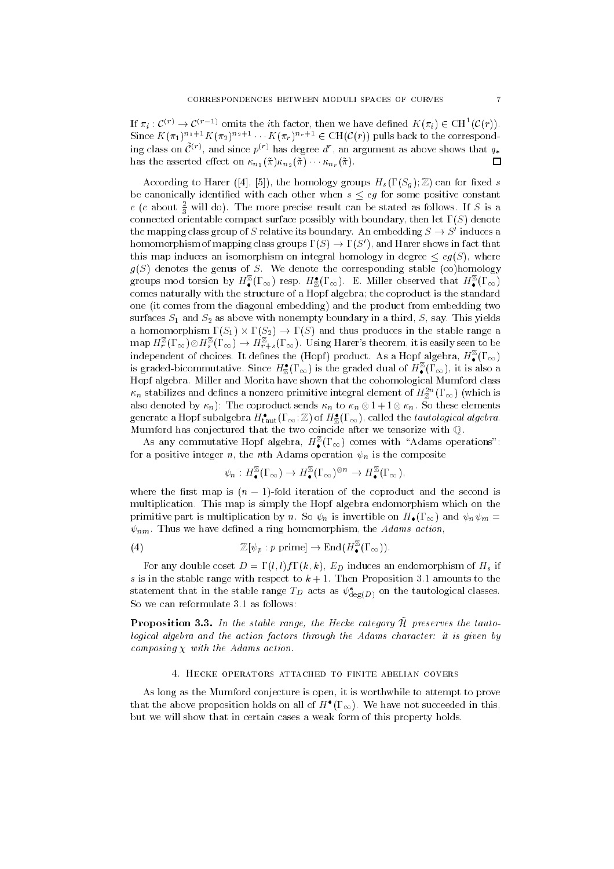If  $\pi_i: C^{\vee} \to C^{\vee} \to \text{omits the } i\text{th factor, then we have defined } K(\pi_i) \in \text{CH}^1(C(r)).$ Since  $K(\pi_1)$   $\cdots$   $K(\pi_r)$   $\cdots$   $\in$   $\cup$   $\Pi(U(r))$  pulls back to the corresponding class on  $C^{\vee}$ , and since  $p^{\vee}$  has degree  $a$  , an argument as above shows that  $q_*$  $\Box$ has the asserted eect on n- n nr -

According to Harer ([4], [5]), the homology groups  $H_s(\Gamma(S_q);\mathbb{Z})$  can for fixed s be canonically identified with each other when  $s \leq cg$  for some positive constant c (c about  $\frac{1}{3}$  will do). The more precise result can be stated as follows. If S is a connected orientable compact surface possibly with boundary, then let  $\Gamma(S)$  denote the mapping class group of S relative its boundary. An embedding  $S \to S$  -induces a homomorphism of mapping class groups  $\Gamma(S) \to \Gamma(S')$ , and Harer shows in fact that this map induces an isomorphism on integral homology in degree  $\leq cg(S)$ , where  $\mathcal{S}$  denotes the genus of S-independing stable corresponding stable corresponding stable corresponding stable corresponding stability of  $\mathcal{S}$ groups mod torsion by  $H_{\bullet}^{-}(1_{\infty})$  resp.  $H_{\mathbb{Z}}^{*}(1_{\infty})$ . E. Miller observed that  $H_{\bullet}^{-}(1_{\infty})$ comes naturally with the structure of a Hopf algebra; the coproduct is the standard one (it comes from the diagonal embedding) and the product from embedding two surfaces S-1 and S-2 as above with a third S say-in a third S say-in a third S say-in a third S say-in a third a homomorphism s-  $\setminus$   $\subseteq$   $\setminus$   $\setminus$   $\subseteq$   $\setminus$   $\subseteq$   $\setminus$   $\subseteq$   $\setminus$   $\subseteq$   $\setminus$   $\subseteq$   $\setminus$   $\subseteq$   $\setminus$   $\subseteq$   $\setminus$   $\subseteq$   $\setminus$   $\subseteq$   $\setminus$   $\subseteq$   $\setminus$   $\subseteq$   $\setminus$   $\subseteq$   $\setminus$   $\subseteq$   $\setminus$   $\subseteq$   $\setminus$   $\subseteq$   $\setminus$   $\subseteq$   $\setminus$   $\subseteq$ map  $H^{\pm}_{r}(1_{\infty})\otimes H^{\pm}_{s}(1_{\infty})\to H^{\pm}_{r+s}(1_{\infty})$ . Using Harer subecording to is easily seen to be independent of choices. It defines the (Hopf) product. As a Hopf algebra,  $H_{\bullet}^{-}(1_{\infty})$ is graded-bicommutative. Since  $H_{\mathbb{Z}}(1\,\infty)$  is the graded dual of  $H_\bullet^-(1\,\infty)$ , it is also a Hopf algebra- Miller and Morita have shown that the cohomological Mumford class  $\kappa_n$  stabilizes and defines a nonzero primitive integral element of  $H_{\mathbb{Z}}$   $\langle 1~\infty \rangle$  (which is also denote by  $\{f_i\}$  , where existence elements  $\{f_i\}$  is a non-to-coproduct sensor elements of generate a Hopf subalgebra  $H_{\mathrm{taut}}(1\,\infty\,;\mathbb{Z})$  of  $H_{\mathbb{Z}}^\ast(1\,\infty\,)$ , called the t*autological algebra*. Mumford has conjectured that the two coincide after we tensorize with Q-

As any commutative Hopf algebra,  $H_{\bullet}^{-}(1\infty)$  comes with Adams operations : for a positive integer n, the nth Adams operation  $\psi_n$  is the composite

$$
\psi_n: H^{\mathbb{Z}}_{\bullet}(\Gamma_{\infty}) \to H^{\mathbb{Z}}_{\bullet}(\Gamma_{\infty})^{\otimes n} \to H^{\mathbb{Z}}_{\bullet}(\Gamma_{\infty}),
$$

where the first map is  $(n - 1)$ -fold iteration of the coproduct and the second is multiplication- This map is simply the Hopf algebra endomorphism which on the  $\blacksquare$  . The multiplication by noting the sound by non-H-model and non-H-model and  $\blacksquare$  $\Box$  Thus we have denoted a ring homomorphism the Adams action to the Adams action of the Adams action of the Adams action of the Adams action of the Adams action of the Adams action of the Adams action of the Adams actio

(4) 
$$
\mathbb{Z}[\psi_p : p \text{ prime}] \to \text{End}(H^{\mathbb{Z}}_{\bullet}(\Gamma_{\infty})).
$$

For any double coset  $\Box$  induces any double coset  $D$  induces an endomorphism of  $D$ s is in the stable range with respect to k - Then Proposition - amounts to the statement that in the stable range  $T_D$  acts as  $\psi_{\text{deg}(D)}^*$  on the tautological classes.

**I** LOPOSITION 0.0. The the stable tange, the Hecke category it preserves the tauto  $\cdot$ logical algebra and the action factors through the Adams character: it is given by compositing a component action- more action

As long as the Mumford conjecture is open, it is worthwhile to attempt to prove that the above proposition holds on all of  $H^+(1_\infty)$ . We have not succeeded in this, but we will show that in certain cases a weak form of this property holds-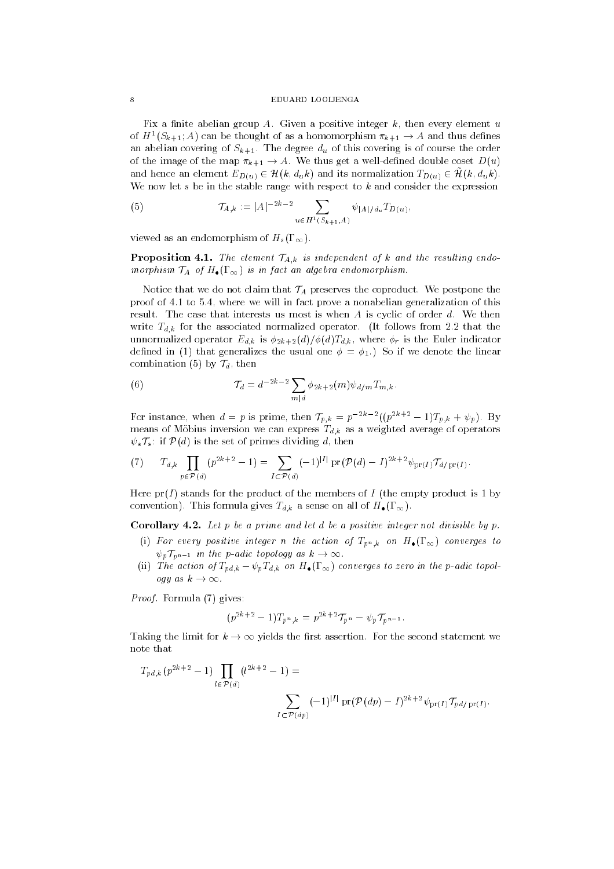Fix a nite abelian group A- Given a positive integer k then every element u of  $H^-(\mathcal{S}_{k+1};A)$  can be thought of as a homomorphism  $\pi_{k+1}\to A$  and thus defines an abelian covering of Sk-- The degree du of this covering is of course the order of the image of the map k-Well is and the maps  $\Box$  with the map are sense the sense  $\Box$ and nence an element  $E_D(u) \subset \pi(\kappa, a_u \kappa)$  and its normalization  $ID(u) \subset \pi(\kappa, a_u \kappa)$ . We now let s be in the stable range with respect to  $k$  and consider the expression

(5) 
$$
\mathcal{T}_{A,k} := |A|^{-2k-2} \sum_{u \in H^1(S_{k+1}, A)} \psi_{|A|/d_u} T_{D(u)},
$$

viewed as an endomorphism of  $H_s(\Gamma_\infty)$ .

Proposition -- The element TA-k is independent of <sup>k</sup> and the resulting endo morphism Ta of H-android and Tag and Tag and Tag and Tag and Tag and Tag and Tag and Tag and Tag and Tag and Ta

notice that we do not claim that TA preserves the coproduct- we preserve the postpone the prove se ele in film in fact the will in fact prove a nonabelian generalization of this result-that inter-that interests in these is when A is the cyclic of order distance and the interest write  $\tau_{d,n}$  for the associated operator-complex from  $\tau_{d,n}$  for the associated operator-complex from  $\tau_{d,n}$ under the extension operator  $\mu$  is the  $\mu$  is  $\mu$  is the  $\mu$  is the Table indicator indicator indicator indicator indicator indicator indicator indicator indicator indicator indicator indicator in  $\mu$ denote the  $\alpha$  is the usual one in the usual one is a solution of  $\alpha$  if  $\alpha$  if  $\alpha$  is the linear order of  $\alpha$ combination (5) by  $\mathcal{T}_d$ , then

(6) 
$$
\mathcal{T}_d = d^{-2k-2} \sum_{m|d} \phi_{2k+2}(m) \psi_{d/m} T_{m,k}.
$$

For instance, when  $a = p$  is prime, then  $I_{p,k} = p$  is the  $(p^{n+1} - 1)I_{p,k} + \psi_p$ . By means of Mobius inversion we can express Td-k as a weighted average of operators  $\psi_*\mathcal{T}_*$ : if  $\mathcal{P}(d)$  is the set of primes dividing d, then

(7) 
$$
T_{d,k} \prod_{p \in \mathcal{P}(d)} (p^{2k+2} - 1) = \sum_{I \subset \mathcal{P}(d)} (-1)^{|I|} \Pr(\mathcal{P}(d) - I)^{2k+2} \psi_{\text{pr}(I)} \mathcal{T}_{d/\text{pr}(I)}.
$$

Here  $pr(I)$  stands for the product of the members of I (the empty product is 1 by  $\alpha$  a sense  $\alpha$  and  $\alpha$  sense  $\alpha$  and  $\alpha$  and  $\alpha$  are sense on all of  $\alpha$  and  $\alpha$ 

Corollary -- Let p be a prime and let d beapositive integer not divisible by p-

- $\mu$  for every positive integer it also action by  $\pm p$  of  $\mu$  on  $\pm \bullet$  ( $\pm \infty$ ) converges to  $\gamma$   $\gamma$ ,  $\gamma$ <sup>n</sup>-the most padic topology as  $\kappa$   $\gamma$  control
- ii action of Textures to action of Textures to a convergence to a convergence of the padic topology of the pad ogy as  $k \to \infty$ .

**Formula Formula Formula Extending** 

$$
(p^{2k+2} - 1)T_{p^n,k} = p^{2k+2}T_{p^n} - \psi_p T_{p^{n-1}}
$$

Taking the limit for k yields the rst assertion- For the second statement we note that

$$
T_{pd,k}(p^{2k+2} - 1) \prod_{l \in \mathcal{P}(d)} (l^{2k+2} - 1) =
$$
  

$$
\sum_{I \subset \mathcal{P}(dp)} (-1)^{|I|} \Pr(\mathcal{P}(dp) - I)^{2k+2} \psi_{\text{pr}(I)} \mathcal{T}_{pd/\text{pr}(I)}.
$$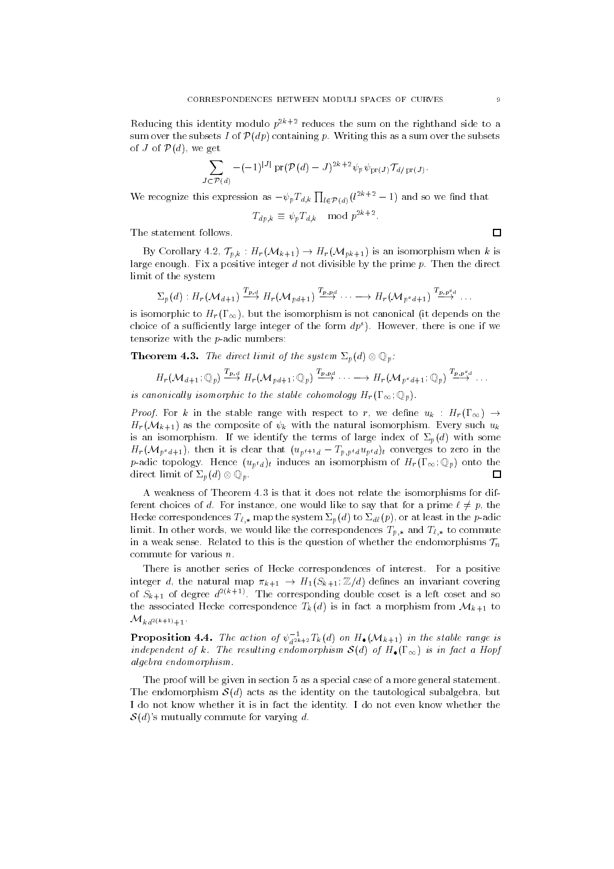Reducing this identity modulo  $p^{2k+2}$  reduces the sum on the righthand side to a sum over the subsets I of Pap containing provising this as a sum over the subsets  $\sim$ of J of  $P(d)$ , we get

$$
\sum_{J\subset \mathcal{P}(d)} -(-1)^{|J|}\operatorname{pr}(\mathcal{P}(d)-J)^{2k+2}\psi_p\,\psi_{\operatorname{pr}(J)}\mathcal{T}_{d/\operatorname{pr}(J)}.
$$

We recognize this expression as  $-\psi_p T_{d,k} \prod_{l \in \mathcal{P}(d)} (l^{2k+2} - 1)$  and so we find that

$$
T_{dp,k} \equiv \psi_p T_{d,k} \mod p^{2k+2}.
$$

The statement follows-

or corollary - International Corollary - International Corollary - International Corollary - International Coro large enough- Fix a positive integer d not divisible by the prime p- Then the direct limit of the system

$$
\Sigma_p(d):H_r(\mathcal{M}_{d+1})\stackrel{T_{p,d}}{\longrightarrow}H_r(\mathcal{M}_{p,d+1})\stackrel{T_{p,p,d}}{\longrightarrow}\cdots\longrightarrow H_r(\mathcal{M}_{p^sd+1})\stackrel{T_{p,p^sd}}{\longrightarrow}.
$$

is isomorphic to  $H_r(\Gamma_\infty)$ , but the isomorphism is not canonical (it depends on the choice of a sufficiently large integer of the form  $ap$  ). However, there is one if we tensorize with the  $p$ -adic numbers:

Theorem -- The direct limit of the system !pd Qp

$$
H_r(\mathcal{M}_{d+1};\mathbb{Q}_p) \stackrel{T_{p,d}}{\longrightarrow} H_r(\mathcal{M}_{p,d+1};\mathbb{Q}_p) \stackrel{T_{p,p,d}}{\longrightarrow} \cdots \longrightarrow H_r(\mathcal{M}_{p^sd+1};\mathbb{Q}_p) \stackrel{T_{p,p^sd}}{\longrightarrow} \cdots
$$

is canonically isomorphic to the stable cohomology  $H_r(\Gamma_\infty;\mathbb{Q}_p)$ .

Proof- For <sup>k</sup> in the stable range with respect to r we dene uk Hr Hr Mk- as the composite of k with the natural isomorphism- Every such uk is an isomorphism-dentify the terms of large index of large index of  $\mathbb{R}^n$  some index of  $\mathbb{R}^n$  some index of  $\mathbb{R}^n$  some index of  $\mathbb{R}^n$  some index of  $\mathbb{R}^n$  some index of  $\mathbb{R}^n$  some index of  $\$  $\mathcal{L}_{r}(\mathbf{v} \cdot \mathbf{v}_p \cdot \mathbf{a} + \mathbf{I})$ , then it is creat that  $\mathcal{L}_{p,r+q}$   $\mathcal{L}_{p,p+q}$  and  $\mathcal{L}_{p,q+1}$  to zero in the  $p$  adic topology- from  $\{x_p, y_p\}$  induces an isomorphism of  $\pm r$   $(\pm \infty)$   $\infty$   $p$ direct limit of  $\Sigma_n(d) \otimes \mathbb{Q}_n$ . П

a weakness of Theorem - is that it does not relate the interest  $\rho$  manner for different ferent choices of d- For instance one would like to say that for a prime p the Hecker correspondences  $\tau_{k,\ast}$  at  $\tau_{p}$  or at least  $\tau_{p}$  or  $\tau_{p}$  and  $\tau_{p}$ limit- is other words we would like the correspondences Tp-0 with  $\pi_{L,\Phi}$  is commuted to in a weak sense- to this is the model question of whether the endomorphisms Tneedom T commute for various n-

There is another series of Hecke correspondences of interest- For a positive integer dit the natural map k-b-light of the light of the natural map covering the street of the street of the of  $S_{k+1}$  of degree  $u \in \mathcal{C}$ . The corresponding double coset is a left coset and so the associated Hecker correspondence  $\mathbb{F}_0$  is in fact and Marchimedia more  $\mathbb{F}_0$   $\mathbb{F}_1$  is in  $\kappa a$  -  $\kappa$   $n + 1$ 

**Proposition 4.4.** The action of  $\psi_{d^2 k+2} I_k(d)$  on  $H_{\bullet}(\mathcal{M}_{k+1})$  in the stable range is independent of the resulting endomorphism Society and Society and Society and Society and Society and Society algebra endomorphism-

The proof will be given in section 5 as a special case of a more general statement. The endomorphism  $\mathcal{S}(d)$  acts as the identity on the tautological subalgebra, but . It is introduced the interest in the interest the identity- the idea is in the idea in the state  $\alpha$  $\mathcal{S}(d)$ 's mutually commute for varying d.

 $\Box$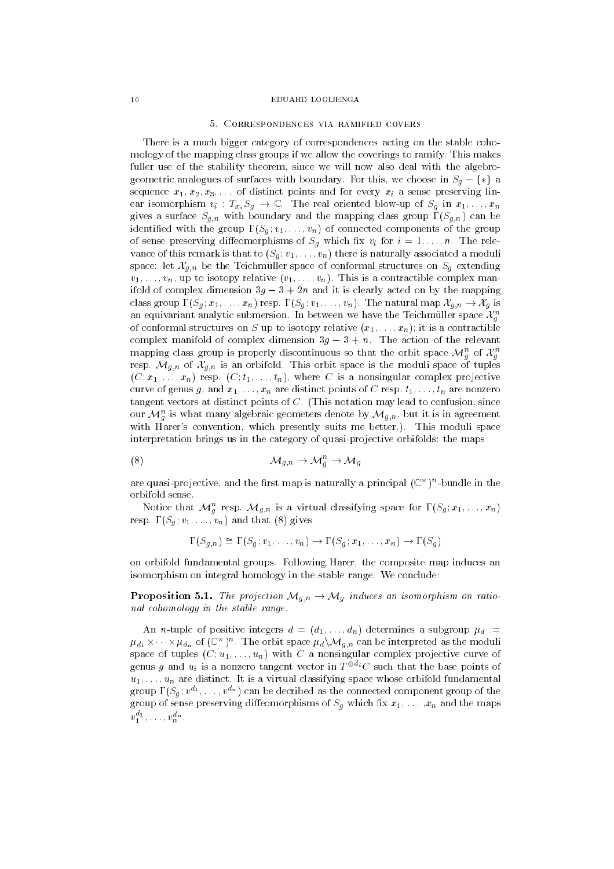### EDIJARD LOOLIENG A

There is a much bigger category of correspondences acting on the stable coho mology of the mapping class groups if we allow the coverings to ramify- This makes fuller use of the stability theorem, since we will now also deal with the algebrogeometric analogues of surfaces with boundary-this with books with boundarysequence x-and for distinct points and for every sense preserving line and for every sense preserving line and ear is seen the real oriented blowup of  $\mathcal{L}$  is seen to real oriented blowup of  $\mathcal{L}$  in  $\mathcal{L}$  in  $\mathcal{L}$ n with boundary and the mapping class group  $\Gamma$  in the mapping class group  $\Gamma$ identically set of the group  $\Theta$  in the group  $\Theta$  in the group  $\Theta$  in the group  $\Theta$ of sense preserving dieomorphisms of  $\mathcal{S}$  which  $\mathcal{S}$  which  $\mathcal{S}$  is indicated by  $\mathcal{S}$  $\sqrt{-}$   $\alpha$  is the state of the state and there is naturally associated a moduli associated a moduli associated a moduli associated a moduli associated a moduli associated a moduli associated a moduli associated a moduli space let Xg-n be the Teichmuller space of conformal structures on Sg extending  $\cdot$  ,  $\cdot$  ,  $\cdot$  ,  $\cdot$  is a contractive v-1 ,  $\cdot$  ,  $\cdot$  ,  $\cdot$  ,  $\cdot$  ,  $\cdot$  , and the complex manner of  $\cdot$ ifold of complex dimension  $3g - 3 + 2n$  and it is clearly acted on by the mapping class group Sg  $\alpha$  is the natural map  $\alpha$  of the natural map  $\alpha$  is the natural map  $\alpha$  is the natural map  $\alpha$ an equivariant analytic submersion. In between we have the Teichmuller space  $\mathcal{A}_a$ general contracts and contracts are a series of the contracts of the contracts of the contracts of the contracts of the contracts of the contracts of the contracts of the contracts of the contracts of the contracts of the of conformation it is a contract to interest  $\mu$  , relative x-relative x-relative contractions of complex manifold of complex manifolds of any the method of the relevant of the relevant mapping class group is properly discontinuous so that the orbit space  $\mathcal{M}_g$  of  $\mathcal{X}_g$ general control of the control of the control of the control of the control of the control of the control of the control of the control of the control of the control of the control of the control of the control of the cont respectively. This orbit space is the moduli space of the moduli space of the moduli space of tuples of tuples  $\mathcal{N} \simeq 1$  is a nonsingular complex projective complex projective complex projective complex projective complex projective curve of genus g and when  $\alpha$  is the group of construction points of C respectively and the nonzero contractor tangent vectors at distinct points of C- This notation may lead to confusion since our  $\mathcal{M}_g$  is what many algebraic geometers denote by  $\mathcal{M}_{g,n},$  but it is in agreement with the state of  $\alpha$  is moduli space of  $\alpha$  presented in the space of  $\alpha$  , which is model is paced in interpretation brings us in the category of quasi-projective orbifolds: the maps

Mgn Mn " g Mg

are quasi-projective, and the first map is naturally a principal  $(\mathbb{C}^\times)^\times$ -pundle in the orbifold sense-

Notice that  $\mathcal{M}_g$  resp.  $\mathcal{M}_{g,n}$  is a virtual classifying space for  $\mathbf{1}(\mathcal{S}_g; x_1, \ldots, x_n)$  $\mathbf{v} = \mathbf{v} - \mathbf{v}$  and  $\mathbf{v} = \mathbf{v} - \mathbf{v}$  and  $\mathbf{v} = \mathbf{v} - \mathbf{v}$ 

$$
\Gamma(S_{q,n}) \cong \Gamma(S_q; v_1, \ldots, v_n) \to \Gamma(S_q; x_1, \ldots, x_n) \to \Gamma(S_q)
$$

on orbifold fundamental groups- Following Harer the composite map induces an isomorphism on integral homology in the stable range- We conclude

Proposition -- The projection Mg-n Mg induces an isomorphism on ratio nal cohomology in the stable range.

 $\Box$  integrative integration of positive integers definitive integration of  $\Box$  $\mu_{d_1} \times \cdots \times \mu_{d_n}$  of  $(\cup \cap)^\sim$ . The orbit space  $\mu_d \setminus \mathcal{M}_{g,n}$  can be interpreted as the moduli space of the complex projection of the complex projection of the complex projection of  $\alpha$  and  $\alpha$ genus g and  $u_i$  is a nonzero tangent vector in  $T^{\otimes d_i}C$  such that the base points of  $\blacksquare$  is a virtual classification orbital fundamental fundamental fundamental fundamental fundamental fundamental fundamental fundamental fundamental fundamental fundamental fundamental fundamental fundamental fundamenta group  $\mathbf{1}$  ( $\mathcal{O}_q$ ;  $v$  +,  $\dots$  ,  $v$  + ) can be decribed as the connected component group of the  $\alpha$  and the maps preserving diecessary preserving of Sg which  $\alpha$  and  $\alpha$   $\alpha$  and  $\alpha$  and the maps  $\alpha$  $v_1^{\ldots}, \ldots, v_n^{\ldots}$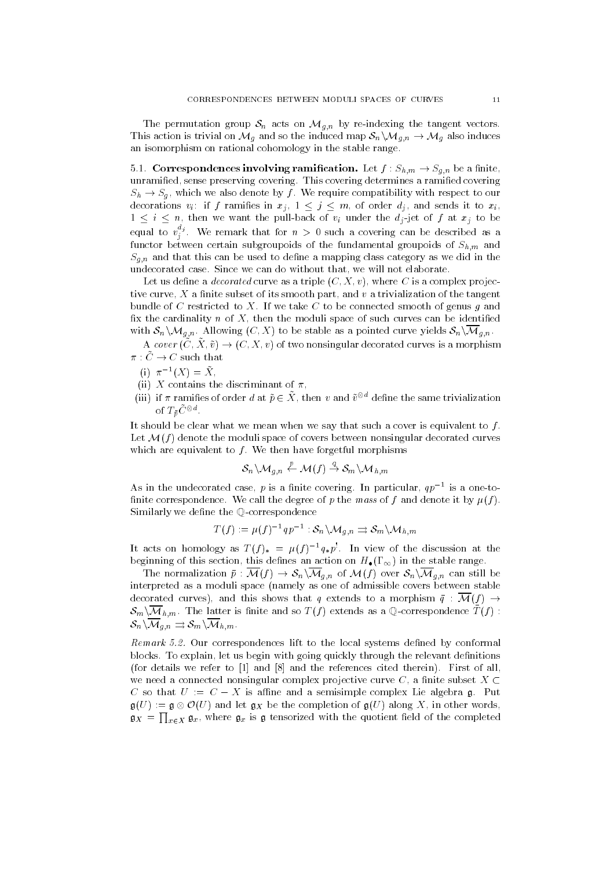n by reindexing the tangent vectors-by and the tangent vectors-by respectively the tangent vectors-This action is trivial on Mg and so the induced map SnnMg-n Mg also induces an isomorphism on rational cohomology in the stable range.

-- Correspondences involving ramication- Let f Sh-m Sg-n be a nite unramied sense preserving covering- This covering determines a ramied covering  $S_{\rm s}$  section with respect to our respect to our respect to our respect to our respect to our respect to our respect to our respect to our respect to our respect to our respect to our respect to our respect to our resp decorations via in and sends in an and sends in an and sends in  $\mathcal{U}$  and sends it to  $\mathcal{U}$ in the pullback of via under the pullback of via under the distribution of  $\mathcal{U}$ equal to  $v_j^{\;j}$ . We remark that for  $n\;>$  0 such a covering can be described as a function between certain subsets of the fundamental groupoids of  $\Box$  in  $\Box$  and  $\Box$  $\Gamma$  and the used to denote the used to denote a mapping class category as we did in the used to denote  $\Gamma$ undecorated case-we can do without that we will not elaborate  $\mathbb{I}$ 

Let us define a *decorated* curve as a triple  $(C, X, v)$ , where C is a complex projective curve,  $X$  a finite subset of its smooth part, and  $v$  a trivialization of the tangent bundle of C restricted to X-restricted to X-restricted to X-restricted smooth of genus g and genus g and genus fix the cardinality  $n$  of  $X$ , then the moduli space of such curves can be identified messed as a point of the stable as a point of the state as a pointed curve yields SnnMg-

A cover  $(\tilde{C}, \tilde{X}, \tilde{v}) \to (C, X, v)$  of two nonsingular decorated curves is a morphism  $\pi : \tilde{C} \to C$  such that

- (1)  $\pi^{-1}(\Lambda) \equiv \Lambda$ ,
- (ii) X contains the discriminant of  $\pi$ ,
- (iii) If  $\pi$  ramifies of order  $a$  at  $p \in A$  , then  $v$  and  $v^{\circ}$  define the same trivialization of  $I_{\tilde{p}}$   $\cup$   $\in$   $\blacksquare$

It should be clear what we mean when we say that such a cover is equivalent to  $f$ . Let  $\mathcal{M}(f)$  denote the moduli space of covers between nonsingular decorated curves which are equivalent to f  $\alpha$  -f  $\alpha$  -f  $\alpha$  -f  $\alpha$  -f  $\alpha$  -f  $\alpha$  -f  $\alpha$  -f  $\alpha$  -f  $\alpha$  -f  $\alpha$  -f  $\alpha$ 

$$
\mathcal{S}_n \backslash \mathcal{M}_{g,n} \stackrel{p}{\leftarrow} \mathcal{M}(f) \stackrel{q}{\rightarrow} \mathcal{S}_m \backslash \mathcal{M}_{h,\,m}
$$

As in the undecorated case,  $p$  is a limite covering. In particular,  $q p$  – is a one-tonite correspondence- we call the magnetic it plane mass of f and denote it by film Similarly we define the Q-correspondence

$$
T(f):=\mu(f)^{-1}qp^{-1}:\mathcal{S}_n\backslash \mathcal{M}_{g,n}\rightrightarrows \mathcal{S}_m\backslash \mathcal{M}_{h,\,m}
$$

It acts on nomology as  $I(f)_* = \mu(f) - q_* p$ . In view of the discussion at the beginning of this section, this defines an action on  $H_{\bullet}(\Gamma_{\infty})$  in the stable range.  $i = i$ in the state-state range-state  $\mathbf{a}$ 

The normalization property  $\mu$  , which is a Mf  $\mathcal{N}_M$  is the Snn  $\mu$  Mg-  $\mu$  still be still be still be still interpreted as a moduli space (namely as one of admissible covers between stable decorated curves), and this shows that q extends to a morphism  $\bar{q}$  :  $\mathcal{M}(f) \rightarrow$  $\mathcal{O}_m \setminus \mathcal{O}(\ln m)$  . The latter is nime and so  $T(f)$  extends as a  $\mathbb{Q}$ -correspondence  $T(f)$ .  $\sim$  10  $\sim$   $\sim$  10  $\sim$  110  $\sim$  110  $\sim$  110  $\sim$ 

Remark -- Our correspondences lift to the local systems dened by conformal blocks- To explain let us begin with going quickly through the relevant denitions for details we refer to  $\mathbf{r}$  and the references cited the references cited the references cited the references cited the references cited the references cited the references cited the references cited the references c we need a connected nonsingular complex projective curve C, a finite subset  $X \subset$  $\cup$  so that  $\cup$   $\cdot = \cup$   $\cdot$  is anne and a semisimple complex Lie algebra  $\mathfrak{g}_\cdot$  if  $\mathfrak{u}_\nu$  $\mathfrak{g}(\cup)$  and in  $\mathfrak{g}_\Lambda$  be the completion of  $\mathfrak{g}(\cup)$  along  $\Lambda$ , in other words,  $\mathfrak{g}_X = \prod_{x \in X} \mathfrak{g}_x$ , where  $\mathfrak{g}_x$  is  $\mathfrak{g}$  tensorized with the quotient field of the completed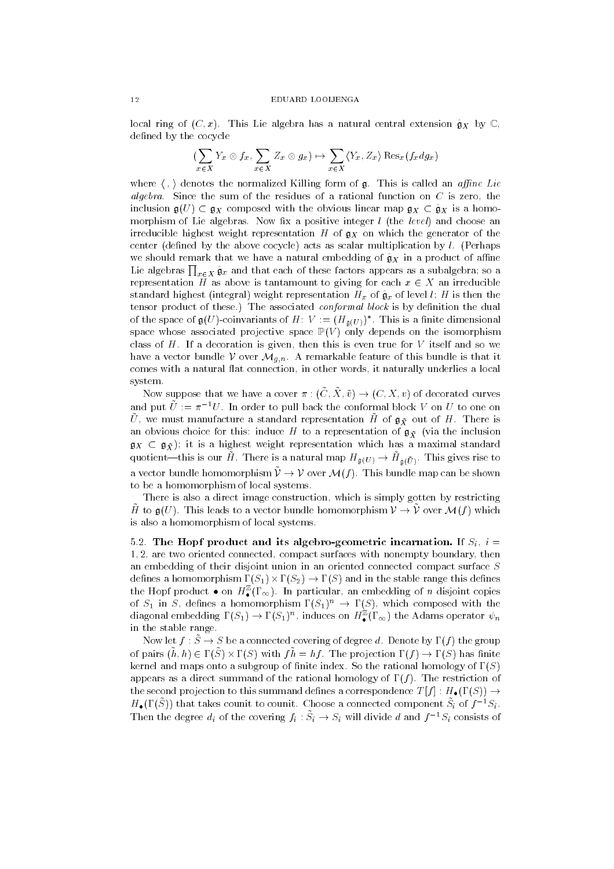### EDIJARD LOOLIENG A

local ring of  $(\bigcirc, \psi)$ . This life algebra has a natural central extension  $\mathfrak{g}_A$  by  $\mathfrak{g}_\gamma$ defined by the cocycle

$$
(\sum_{x\in X} Y_x\otimes f_x,\sum_{x\in X} Z_x\otimes g_x)\mapsto \sum_{x\in X} \langle Y_x, Z_x\rangle\operatorname{Res}_x(f_x dg_x)
$$

where  $\chi$ ,  $\chi$  denotes the normalized Killing form of  $\mu$ . This is called an applie  $D\ell\ell$ algebra. Since the sum of the residues of a rational function on C is first. inclusion  $g(U) \subset g_X$  composed with the obvious linear map  $g_X \subset \hat{g}_X$  is a homomorphism of Lie algebras - Integer lie algebrasie integral lies integer lie and choose and irreducible highest weight representation H of  $g_X$  on which the generator of the center dened by the above cocycle, which we achieve the scalar multiplication by largewe should remark that we have a natural embedding of  $\hat{g}_X$  in a product of affine Lie algebras  $\prod_{x\in X}\hat{\mathfrak{g}}_x$  and that each of these factors appears as a subalgebra; so a representation  $\tilde{H}$  as above is tantamount to giving for each  $x \in X$  an irreducible standard highest (integral) weight representation  $H_x$  of  $\hat{\mathfrak{g}}_x$  of level l; H is then the tensor product of these- The associated conformal block is by denition the dual of the space of  $\mathfrak{g}(U)$ -coinvariants of  $H \colon V \colon \equiv (H_{\mathfrak{g}}(U))$ . This is a nitive dimensional space whose associated projective space  $\mathbb{P}(V)$  only depends on the isomorphism class of H- If a decoration is given then this is even true for V itself and so we have a remarkable feature of this bundle is the visit of the third in the third in the visit of this bundle is that it that it that it the visit of the visit of the visit of the visit of the visit of the visit of the visit comes with a natural flat connection, in other words, it naturally underlies a local system.

Now suppose that we have a cover  $\pi$  ,  $(\cup, \Lambda, \nu) \rightarrow (\cup, \Lambda, \nu)$  or decorated curves and put  $U := \pi^{-1} U$  . In order to pull back the conformal block  $V$  on  $U$  to one on  $\sigma$ , we must manufacture a standard representation H of  $\mathfrak{g}_X$  out of H  $\cdot$  There is an obvious choice for this: induce H to a representation of  $\mathfrak{g}_{\tilde{X}}$  (via the inclusion  $\mathfrak{g}_X \subset \mathfrak{g}_{\tilde{X}}$ ; it is a highest weight representation which has a maximal standard quotient—this is our H . There is a natural map  $\pi_{\mathfrak{g}(U)} \to \pi_{\mathfrak{g}(U)}$ . This gives rise to a vector bundle homomorphism  $\nu \rightarrow \nu$  over  $\nu_{\text{U}}$  . This bundle map can be shown to be a homomorphism of local systems-

There is also a direct image construction which is simply gotten by restricting H to  $\mathfrak{g}(\mathcal{O})$ . This reads to a vector bundle homomorphism  $\mathcal{V} \rightarrow \mathcal{V}$  over  $\mathcal{V}(\mathcal{U})$  which is also a homomorphism of local systems.

-- The Hopf product and its algebro geometric incarnation- If Si i  $1, 2$ , are two oriented connected, compact surfaces with nonempty boundary, then an embedding of their disjoint union in an oriented connected compact surface S denotes a homomorphism  $\{s_{1}, \ldots, s_{n}\}$  , and in the stable range this denotes the stable the Hopf product  $\bullet$  on  $H_{\bullet}^{-}(1_{\infty})$ . In particular, an embedding of n disjoint copies of  $S_1$  in S, defines a homomorphism  $\Gamma(S_1) \to \Gamma(S)$ , which composed with the diagonal embedding  $\mathbf{I}(\mathcal{S}_1) \to \mathbf{I}(\mathcal{S}_1)$ ", induces on  $H_{\bullet}^{\bullet}(\mathbf{I}_{\infty})$  the Adams operator  $\psi_n$ in the stable range-

Now let  $f : S \to S$  be a connected covering of degree  $a$ . Denote by  $I$  (f) the group of pairs  $(u, u) \in L(\mathcal{O}) \times L(\mathcal{O})$  with  $f u = u f$ . The projection  $L(f) \rightarrow L(\mathcal{O})$  has nifite kernel and maps onto a subgroup of nite index- So the rational homology of S appears as a direct summation of the rational homology of the rational homology of f  $\mathcal{M}$  and  $\mathcal{M}$ the second projection to this summand density a correspondence  $\mathcal{L} \left( \mathcal{Y} \right)$  $H_{\bullet}(1\backslash S)$  that takes counit to counit. Unoose a connected component  $S_i$  of  $f-S_i$ . Then the degree  $a_i$  of the covering  $f_i : S_i \to S_i$  will divide a and  $f \circ S_i$  consists of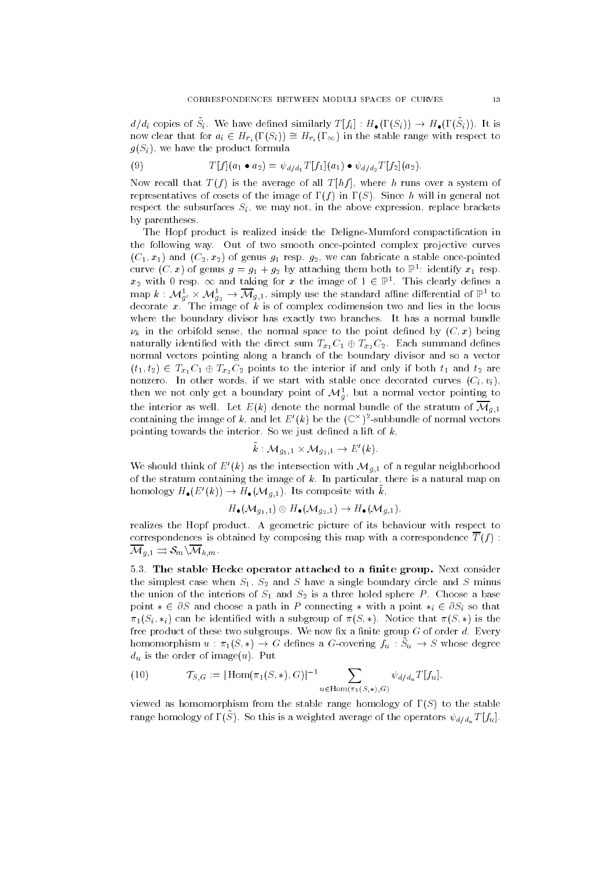$a/a_i$  copies of  $\mathcal{O}_i$ . We have defined similarly  $I[f_i]$  .  $H\bullet (I(\mathcal{O}_i)) \rightarrow H\bullet (I(\mathcal{O}_i))$ . It is How clear that for  $a_i \in H_{r_i}(1 \cup i_j) = H_{r_i}(1 \infty)$  in the stable range with respect to  $g(S_i)$ , we have the product formula

(9) 
$$
T[f](a_1 \bullet a_2) = \psi_{d/d_1} T[f_1](a_1) \bullet \psi_{d/d_2} T[f_2](a_2).
$$

Now recall that  $T(f)$  is the average of all  $T[hf]$ , where h runs over a system of representatives of costs of the image of f in S in S in A costs of A costs of the same of  $\sim$ respect the subsurfaces  $S_i$ , we may not, in the above expression, replace brackets by parentheses.

The Hopf product is realized inside the Deligne-Mumford compactification in the following way- Out of two smooth oncepointed complex projective curves C- x- and C x of genus g- resp- g we can fabricate a stable oncepointed curve  $(C, x)$  of genus  $g = g_1 + g_2$  by attaching them both to  $\mathbb{P}^{\perp}$  identify  $x_1$  resp.  $x_2$  with  $\sigma$  resp.  $\infty$  and taking for  $x$  the image of  $1 \in \mathbb{P}^\circ$ . This clearly defines a map  $\kappa$  :  $\mathcal{M}_{g_1}^* \times \mathcal{M}_{g_2}^* \to \mathcal{M}_{g_1}^*$ , simply use the standard alline differential of  $\mathbb{P}^*$  to  $\mathbf \sigma$  is of complex contribution to the image of complex codimension two and lies in the locus contribution to  $\mathbf \sigma$ where the boundary divisor has exactly two branches-bundles-bundles-bundles-bundles-bundles-bundles-bundles-bu  $\nu_k$  in the orbifold sense, the normal space to the point defined by  $(C, x)$  being naturally identically identically identically in  $\omega_1$  -  $\omega$  and  $\omega_2$  -  $\omega$ normal vectors pointing along a branch of the boundary divisor and so a vector  $\tau$  to the interior of the interior interior interior  $\tau$  and  $\tau$  and  $\tau$  are interior  $\tau$  and the interior  $\tau$ nonzero- in other withing to with start within state decorated curves  $\{N_{i}\}_{i=1}^{N}$ then we not only get a boundary point of  $\mathcal{M}_{g},$  but a normal vector pointing to the interior as well-denote the normal bundle of the stratum of  $\mathbf{u}_1$ containing the image of  $\kappa$  , and let  $E_-(\kappa)$  be the  $(\mathbb{C}^\times)$  -subbundle of normal vectors pointing towards the interior- So we just dened a lift of k

$$
\tilde{k}: \mathcal{M}_{g_1,1} \times \mathcal{M}_{g_2,1} \to E'(k).
$$

We should think of E  $(\kappa)$  as the intersection with  $\mathcal{M}_{g,1}$  of a regular neighborhood of the stratum containing the image of k- In particular there is a natural map on homology  $H_{\bullet}(E_-(k)) \to H_{\bullet}(\mathcal{M}_{q,1})$ . Its composite with  $k$ ,

$$
H_{\bullet}(\mathcal{M}_{g_1,1}) \otimes H_{\bullet}(\mathcal{M}_{g_2,1}) \to H_{\bullet}(\mathcal{M}_{g,1}),
$$

realizes the Hopf product- A geometric picture of its behaviour with respect to correspondences is obtained by composing this map with a correspondence  $\overline{T}(f)$ : Mg-- SmnMh-m-

-- The stable Hecke operator attached to a nite group- Next consider the simplest case when S-single boundary circle and S have a single boundary circle and S minus circle and S m the union of the interiors of S-  $\pm$  and S- is a three holes and S- is a three holes a base a base a base a base point  $* \in \partial S$  and choose a path in P connecting  $*$  with a point  $*_{i} \in \partial S_{i}$  so that  $\sim$  1 votes that can be identically considered with a subgroup of S  $\sim$  1 votes  $\sim$  1 votes that S  $\sim$ free product of these two subgroups- We now x a nite group G of order d- Every homomorphism  $u$  .  $n_1(\omega,*) \to 0$  dennes a G-covering  $f_u$  .  $\omega_u \to \omega$  whose degree  $\alpha$  is the order of images  $\alpha$  is  $\alpha$ 

(10) 
$$
\mathcal{T}_{S,G} := |\operatorname{Hom}(\pi_1(S,*), G)|^{-1} \sum_{u \in \operatorname{Hom}(\pi_1(S,*), G)} \psi_{d/d_u} T[f_u],
$$

viewed as homomorphism from the stable range homology of  $\Gamma(S)$  to the stable range homology of  $\mathbf{r}(\omega)$ . So this is a weighted average of the operators  $\psi_d/_{d_u}\mathbf{1}$   $[Ju]$ .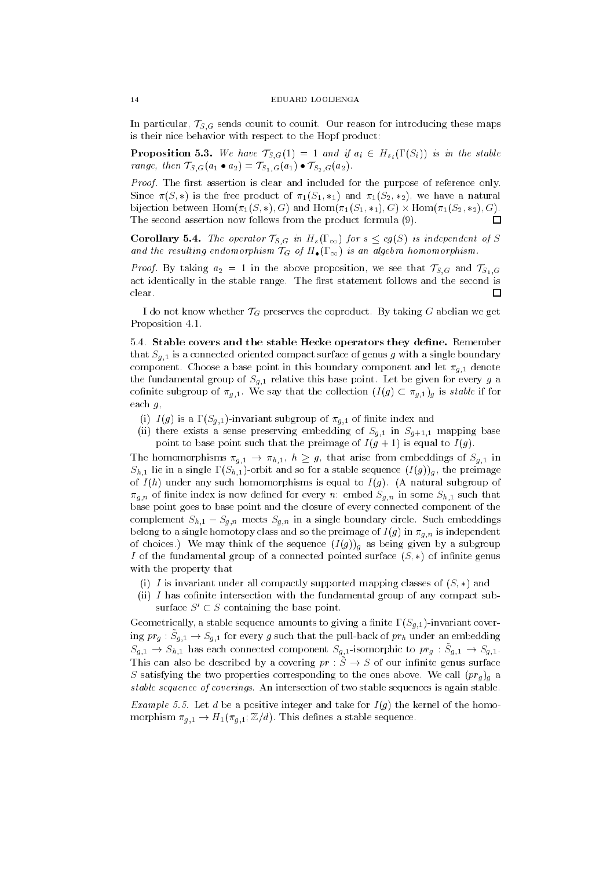in particular TS-G sends country to country to an example maps counter material these maps  $\sim$ is their nice behavior with respect to the Hopf product

 $P$  is the first contract  $\{G_i\}$  ,  $Q_i$  ,  $\{G_i\}$  ,  $\{G_i\}$  ,  $\{G_i\}$  ,  $\{G_i\}$  ,  $\{G_i\}$  ,  $\{G_i\}$  ,  $\{G_i\}$  ,  $\{G_i\}$  ,  $\{G_i\}$  ,  $\{G_i\}$  ,  $\{G_i\}$  ,  $\{G_i\}$  ,  $\{G_i\}$  ,  $\{G_i\}$  ,  $\{G_i\}$  ,  $\{G_i\}$  ,  $\mathcal{F}$  -  $\mathcal{F}$  -  $\mathcal{F}$  -  $\mathcal{F}$  -  $\mathcal{G}$  ,  $\mathcal{G}$  ,  $\mathcal{F}$  -  $\mathcal{F}$  -  $\mathcal{F}$  -  $\mathcal{F}$  -  $\mathcal{F}$  -  $\mathcal{F}$  -  $\mathcal{F}$  -  $\mathcal{F}$  -  $\mathcal{F}$  -  $\mathcal{F}$  -  $\mathcal{F}$  -  $\mathcal{F}$  -  $\mathcal{F}$  -  $\mathcal{F}$  -

Proof- The rst assertion is clear and included for the purpose of reference only-Since  $S$  is the free product of  $S$  is  $\{S_{\mathcal{A}}\}$  . If  $\{S_{\mathcal{A}}\}$  and  $\{S_{\mathcal{A}}\}$  $\mathcal{S}$  . In the form the set of  $\mathcal{S}$  and  $\mathcal{S}$  and  $\mathcal{S}$  and  $\mathcal{S}$  . In the set of  $\mathcal{S}$  and  $\mathcal{S}$  and  $\mathcal{S}$  and  $\mathcal{S}$  and  $\mathcal{S}$  and  $\mathcal{S}$  and  $\mathcal{S}$  and  $\mathcal{S}$  and  $\mathcal{S}$  and  $\mathcal{S$ The second assertion now follows from the product formula  $(9)$ .  $\Box$ 

corollary - The operator TS-Corollary Section TS-Corollary Section TS-Corollary Section TS-Corollary Section T and the resulting endomorphism TG of H-G of H-G of H-G of H-G of H-G of H-G of H-G of H-G of H-G of H-G of H-G

e in the above proposition we see the see that TS-contracts and TS-contracts in the second  $\{ \omega_1, \ldots, \omega_n \}$ act identically in the stable range- which identifies range- and the second is second in clear.  $\Box$ 

I do not know whether TG preserves the coproduct- By taking G abelian we get Proposition --

-- Stable covers and the stable Hecke operators they dene- Remember that Sg-compact surface oriented compact surface of genus g with a single boundary  $\sim$ component-boundary component in this boundary component and let g-tag- $\mathbf{r}_1$  , and function  $\mathbf{r}_1$  and  $\mathbf{r}_2$  are point-defining for every group  $\mathbf{r}_2$  and  $\mathbf{r}_3$  are point- $\alpha$  is stable subgroup of  $g_+$  is stable in the collection I group  $\alpha$  ,  $\alpha$  ,  $g_+$   $\alpha$  and the collection is stable each  $g$ ,

- i Ig is a Sg-- invariant subgroup of g-- of nite index and
- in the sense a sense preserving embedding of S $g_{+1}$  in S $g_{+1}$  in Sp-  $g_{+1}$  in  $f_{+1}$ point to base point such that the preimage of  $I(g + 1)$  is equal to  $I(g)$ .

 $\mathcal{L}$  . The homomorphisms  $g_{+1}$  ,  $g_{+1}$  ,  $\mathcal{L}$  ,  $g_{+1}$  , arise from expectation  $\mathcal{L}$  ,  $g_{+1}$  are  $\sim n_{1,1}$  and so form  $\sigma$  so for a stable sequence is stable so for a stable sequence  $\sqrt{2}/(q_{1,1}$  and  $p_{2,2}$  and of Indians any such homomorphisms is equal to Ign , the morning subgroup of  $g_{\mu\nu}$  is not denote that is now denote that  $\alpha$  is now denote Sg-  $g_{\mu\nu}$  in some Sh-  $\mu$ base point goes to base point and the closure of every connected component of the complement  $\mathcal{S}_{n+1}$  and  $\mathcal{S}_{n+1}$  in a single-single-single-single-single-single-single-single-single-single-single-single-single-single-single-single-single-single-single-single-single-single-single-single-singlebelong to a single homotopy class and so the preimage of Ig in g-n is independent  $\mathcal{N}$  as a choice is the sequence in the sequence is by a subgroup  $\mathcal{N}$  as being given by a subgroup  $\mathcal{N}$ I of the fundamental group of a connected pointed surface  $(S, *)$  of infinite genus with the property that

- (i) I is invariant under all compactly supported mapping classes of  $(S, *)$  and
- (ii)  $I$  has cofinite intersection with the fundamental group of any compact subsurface  $S' \subset S$  containing the base point.

Geometrically a stable sequence amounts to giving a nite Sg-- invariant cover  $\lim_{\epsilon \to \infty} pr_g \to \omega_{g,1} \to \omega_{g,1}$  for every g such that the pull-back of  $pr_h$  under an embedding  $\omega_{g,1} \to \omega_{h,1}$  has each connected component  $\omega_{g,1}$ -isomorphic to  $p_{1g}$  ,  $\omega_{g,1} \to \omega_{g,1}$ . This can also be described by a covering  $pr : \tilde{S} \to S$  of our infinite genus surface S satisfying the two properties corresponding to the ones above- We call prg g <sup>a</sup> stable sequence of coverings- An intersection of two stable sequences is again stable-

example of the and the positive integer and take for Ig, the method is the method morphism g-1  $\ldots$  and  $\ldots$  a stable sequence-sequence-sequence-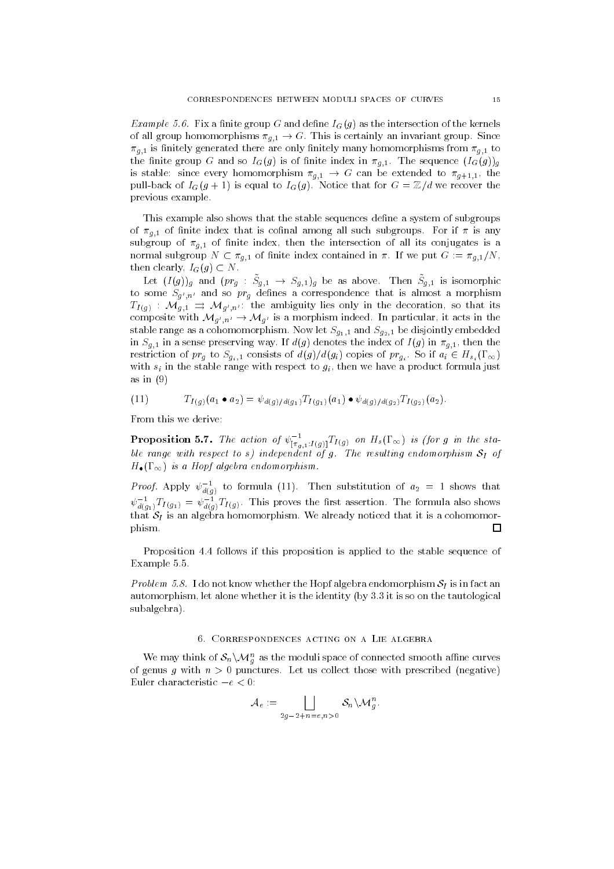$\blacksquare$  . The fix a nite group G and dense  $\lhd$  (3) as the intersection of the kernels  $\alpha$  and  $\alpha$ -certainly momentum  $\alpha$  is the invariant group-since  $\alpha$  is certainly and invariant  $\alpha$  on  $\alpha$ agency are only nitely are only nitely many homomorphisms from generated the state of the state of the state o  $\Theta$  and  $\Theta$  is of  $\Theta$  index in group  $\Theta$  in the sequence in group  $\Theta$ is stable since every distribution parameter  $(g_+ \mathbf{i}_+ + \mathbf{j}_+ + \mathbf{j}_+ + \mathbf{j}_+ + \mathbf{j}_+ + \mathbf{j}_+ + \mathbf{j}_+ + \mathbf{j}_+ + \mathbf{j}_+ + \mathbf{j}_+ + \mathbf{j}_+ + \mathbf{j}_+ + \mathbf{j}_+ + \mathbf{j}_+ + \mathbf{j}_+ + \mathbf{j}_+ + \mathbf{j}_+ + \mathbf{j}_+ + \mathbf{j}_+ + \mathbf{j}_+ + \mathbf{j}_+ + \mathbf{j}_+ + \mathbf{j}_+ + \mathbf{j}_+ + \mathbf{j$ pulled that the IGG is equal to IGG in the form that for a series that for G is the G is that for G previous example.

This example also shows that the stable sequences define a system of subgroups  $\sim$   $\sim$   $g_{+1}$  is control and that is control among all such subgroups. For if  $\sim$  is any subgroup of  $g_{+1}$  is all its control internal the intersection of all its confluence is all its conjugates is a  $\alpha$  , and  $\alpha$  is defined in  $\alpha$  ,  $\alpha$  in  $\alpha$  in  $\alpha$  in  $\alpha$  in  $\alpha$  in  $\alpha$  in  $\alpha$  in  $\alpha$  in  $\alpha$  in  $\alpha$  in  $\alpha$  in  $\alpha$  in  $\alpha$  in  $\alpha$  in  $\alpha$  in  $\alpha$  in  $\alpha$  in  $\alpha$  in  $\alpha$  in  $\alpha$  in  $\alpha$  in  $\alpha$  in  $\alpha$  in then clearly,  $I_G(g) \subset N$ .

Let  $(I(g))_g$  and  $pr_g$  .  $\cup_{g,1} \rightarrow \cup_{g,1} g$  be as above. Then  $\cup_{g,1}$  is isomorphic to some  $\mathcal{L}g_{\parallel n}$  and so  $\mathcal{L}g_{\parallel n}$  dennes a correspondence that is almost a morphism  $H(q)$  and  $H(q,1)$  is the ambiguity lies only in the decoration, so that its composite with  $\mathbf{v} \cdot \mathbf{u}$  is  $\mathbf{v} \cdot \mathbf{u}$  is a morphism indeed. In particular, it acts in the stable range as a cohomorphism-cohomorphism-cohomorphism-cohomorphism-cohomorphism-cohomorphism-cohomorphism-co in Singlet way the index of index of index of index of index of index of index of index of index of index of i  $\mathbf{r} = \mathbf{y}_1 + \mathbf{y}_2 + \mathbf{y}_3 + \mathbf{y}_4 + \mathbf{y}_5 + \mathbf{y}_6 + \mathbf{y}_7 + \mathbf{y}_8 + \mathbf{y}_9 + \mathbf{y}_9 + \mathbf{y}_9 + \mathbf{y}_9 + \mathbf{y}_9 + \mathbf{y}_9 + \mathbf{y}_9 + \mathbf{y}_9 + \mathbf{y}_9 + \mathbf{y}_9 + \mathbf{y}_9 + \mathbf{y}_9 + \mathbf{y}_9 + \mathbf{y}_9 + \mathbf{y}_9 + \mathbf{y}_9 + \mathbf{y}_9 + \mathbf{y}_9 + \mathbf{y$ with  $s_i$  in the stable range with respect to  $g_i$ , then we have a product formula just as in  $(9)$ 

(11) 
$$
T_{I(g)}(a_1 \bullet a_2) = \psi_{d(g)/d(g_1)} T_{I(g_1)}(a_1) \bullet \psi_{d(g)/d(g_2)} T_{I(g_2)}(a_2).
$$

From this we derive

**Proposition** 5.7. The action of  $\psi_{\lfloor \pi_{q,1}:I(g)\rfloor}^{-1}I_{I(g)}$  on H<sub>s</sub>(1  $\infty$ ) is (for g in the stable range with respect to s
 independent of g- The resulting endomorphism SI of  $\blacksquare$  is a Hopf algebra endomorphism-distribution of  $\blacksquare$ 

*Proof.* Apply  $\psi_{d(q)}$  to formula (11). Then substitution of  $a_2 = 1$  shows that  $\psi_{d(q_1)}I_{I(q_1)}=\psi_{d(q)}I_{I(q)}$ . Inis proves the first assertion. The formula also shows that SI is an algebra homomorphism-distanced that it is a cohomorphism-distanced that it is a cohomorphism-distanced that it is a cohomorphism-distanced that it is a cohomorphism-distanced that it is a cohomorphism-distanc phism- $\Box$ 

Proposition - follows if this proposition is applied to the stable sequence of Example --

Problem -- I do not know whether the Hopf algebra endomorphism SI is in fact an automorphism let alone whether it is the identity by - it is the identity by - it is so on the tautological pro subalgebra).

We may think of  $\mathcal{S}_n \setminus \mathcal{M}_g^n$  as the moduli space of connected smooth alline curves of genus g with n - punctures- Let us collect those with prescribed negative Euler characteristic  $-e < 0$ :

$$
\mathcal{A}_e:=\bigsqcup_{2g-2+n=e,n>0}\mathcal{S}_n\backslash \mathcal{M}_g^n.
$$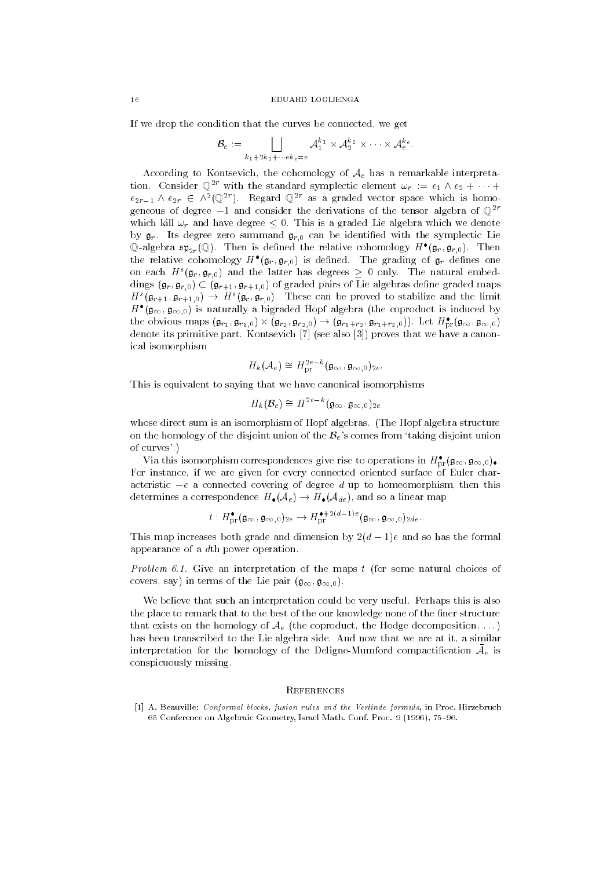If we drop the condition that the curves be connected, we get

$$
\mathcal{B}_e \,:=\, \bigsqcup_{k_1+2k_2+\cdots + k_e = e} \mathcal{A}_1^{k_1} \times \mathcal{A}_2^{k_2} \times \cdots \times \mathcal{A}_e^{k_e} \,.
$$

According to Kontsevich, the cohomology of  $A_e$  has a remarkable interpretation. Consider  $\mathbb{Q}$  with the standard symplectic element  $\omega_r := e_1 \wedge e_2 + \cdots$  $e_{2r-1}$   $\wedge$   $e_{2r}$   $\in$   $\wedge$   $\Uparrow$   $\vee$  regard  $\Uparrow$  as a graded vector space which is homogeneous of degree  $-1$  and consider the derivations of the tensor algebra of  $\mathbb{Q}^{2r}$ which kill read that is a green who are a graded lighter who have we denote  $\mathcal{D}$ y  $\mathbf{y}_r$ . The degree zero summand  $\mathbf{y}_{r,0}$  can be identified with the symplectic Lie  $\mathbb Q$ -aigebra  $\mathfrak{sp}_{2r}(\mathbb Q)$ . Then is defined the relative cohomology  $H^*(\mathfrak{g}_r,\mathfrak{g}_{r,0}).$ the relative cohomology  $H^-(\mathfrak{g}_r,\mathfrak{g}_{r,0})$  is defined. The grading of  $\mathfrak{g}_r$  defines one on each  $H^-(\mathfrak{g}_r,\mathfrak{g}_{r,0})$  and the latter has degrees  $\geq$  0 only. The natural embed- $\alpha$  ( $\mathbf{y}_r$ ,  $\mathbf{y}_{r+0}$ )  $\subset$   $(\mathbf{y}_{r+1}, \mathbf{y}_{r+1}, 0)$  or graded pairs of the algebras define graded maps  $H^-(\mathfrak{g}_{r+1},\mathfrak{g}_{r+1,0}) \rightarrow H^+(\mathfrak{g}_r,\mathfrak{g}_{r,0})$ . These can be proved to stabilize and the limit  $H^-(\mathfrak{g}_{\infty},\mathfrak{g}_{\infty,0})$  is naturally a bigraded Hopf algebra (the coproduct is induced by the obvious maps  $(\mathfrak{g}_{r_1}, \mathfrak{g}_{r_1,0}) \times (\mathfrak{g}_{r_2}, \mathfrak{g}_{r_2,0}) \to (\mathfrak{g}_{r_1+r_2}, \mathfrak{g}_{r_1+r_2,0})$ . Let  $H_{\mathrm{pr}}(\mathfrak{g}_{\infty}, \mathfrak{g}_{\infty,0})$ denote its primitive part- Kontsevich see also proves that we have a canon ical isomorphism

$$
{H}_k(\mathcal{A}_e)\cong{H}^{2e-\kappa}_{\rm pr}(\mathfrak{g}_\infty,\mathfrak{g}_{\infty,0})_{2e}.
$$

This is equivalent to saying that we have canonical isomorphisms

$$
H_k(\mathcal{B}_e) \cong H^{2e-k}(\mathfrak{g}_{\infty}, \mathfrak{g}_{\infty,0})_{2e}
$$

whose direct sum is an isomorphism of Hopf algebras, I was expressed algebrason the homology of the disjoint union of the  $\mathcal{B}_e$ 's comes from 'taking disjoint union of curves- 

via this isomorphism correspondences give rise to operations in  $H_{\mathrm{pr}}(\mathfrak{g}_{\infty}, \mathfrak{g}_{\infty,0})_{\bullet}$ . For instance, if we are given for every connected oriented surface of Euler characteristic  $-e$  a connected covering of degree d up to homeomorphism, then this determines a correspondence H-  $\blacksquare$  and so a linear map  $\blacksquare$ 

$$
t: H^{\bullet}_{\mathrm{pr}}(\mathfrak{g}_{\infty}, \mathfrak{g}_{\infty,0})_{2e} \to H^{\bullet+2(d-1)e}_{\mathrm{pr}}(\mathfrak{g}_{\infty}, \mathfrak{g}_{\infty,0})_{2de}.
$$

This map increases both grade and dimension by  $2(d-1)e$  and so has the formal appearance of a  $d$ th power operation.

Problem -- Give an interpretation of the maps t for some natural choices of covers, say  $\mu$  in terms of the Lie pair  $\mathfrak{g}_{\infty}, \mathfrak{g}_{\infty}, \mathfrak{g}_{\infty}$ 

we believe that such an interpretation could be very useful-time position of the very usefulthe place to remark that to the best of the our knowledge none of the finer structure that exists on the homology of  $A_e$  (the coproduct, the Hodge decomposition, ...) has been transcribed to the Lie algebra side- And now that we are at it a similar interpretation for the homology or the Deligne-Mumford compactmeation  $A_e$  is conspicuously missing-

## **REFERENCES**

<sup>1</sup>1 A. Deauville: *Conformal blocks, fusion rates and the Verlinge formata*, in Froc. Hirzebruch Conference on Algebraic Geometry Israel Math- Conf- Proc- -